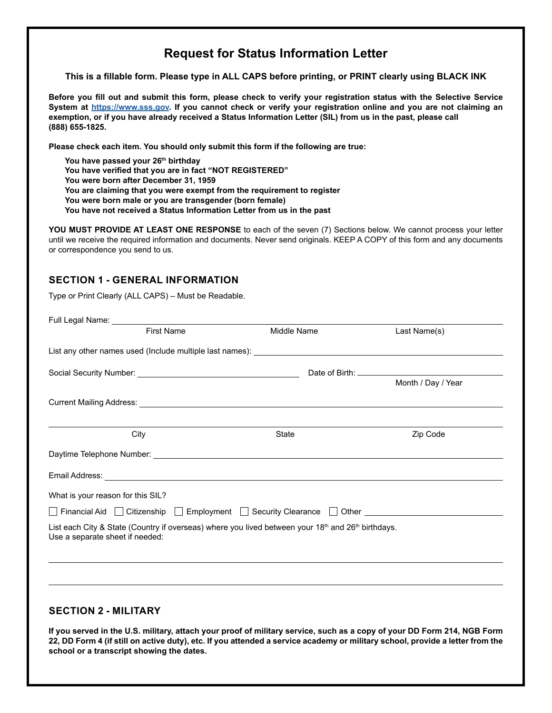# **Request for Status Information Letter**

**This is a fillable form. Please type in ALL CAPS before printing, or PRINT clearly using BLACK INK**

**Before you fill out and submit this form, please check to verify your registration status with the Selective Service System at [https://www.sss.gov.](https://www.sss.gov/Home/Verification) If you cannot check or verify your registration online and you are not claiming an exemption, or if you have already received a Status Information Letter (SIL) from us in the past, please call (888) 655-1825.**

**Please check each item. You should only submit this form if the following are true:**

**You have passed your 26th birthday**

**You have verified that you are in fact "NOT REGISTERED"**

**You were born after December 31, 1959**

**You are claiming that you were exempt from the requirement to register**

- **You were born male or you are transgender (born female)**
- **You have not received a Status Information Letter from us in the past**

**YOU MUST PROVIDE AT LEAST ONE RESPONSE** to each of the seven (7) Sections below. We cannot process your letter until we receive the required information and documents. Never send originals. KEEP A COPY of this form and any documents or correspondence you send to us.

#### **SECTION 1 - GENERAL INFORMATION**

Type or Print Clearly (ALL CAPS) – Must be Readable.

| <b>First Name</b>                                                                                                                                                                                                                   | Middle Name  | Last Name(s)       |
|-------------------------------------------------------------------------------------------------------------------------------------------------------------------------------------------------------------------------------------|--------------|--------------------|
|                                                                                                                                                                                                                                     |              |                    |
|                                                                                                                                                                                                                                     |              |                    |
|                                                                                                                                                                                                                                     |              | Month / Day / Year |
|                                                                                                                                                                                                                                     |              |                    |
| City                                                                                                                                                                                                                                | <b>State</b> | Zip Code           |
|                                                                                                                                                                                                                                     |              |                    |
| Email Address: <u>Communications</u> Communications of the Communications of the Communications of the Communications of the Communications of the Communications of the Communications of the Communications of the Communications |              |                    |
| What is your reason for this SIL?                                                                                                                                                                                                   |              |                    |
| □ Financial Aid □ Citizenship □ Employment □ Security Clearance □ Other ___________________________                                                                                                                                 |              |                    |
| List each City & State (Country if overseas) where you lived between your 18th and 26th birthdays.<br>Use a separate sheet if needed:                                                                                               |              |                    |
|                                                                                                                                                                                                                                     |              |                    |
|                                                                                                                                                                                                                                     |              |                    |
|                                                                                                                                                                                                                                     |              |                    |
|                                                                                                                                                                                                                                     |              |                    |
| <b>SECTION 2 - MILITARY</b>                                                                                                                                                                                                         |              |                    |
| If you served in the U.S. military attach your proof of military service, such as a copy of your DD Form 214, NGR Form                                                                                                              |              |                    |

**If you served in the U.S. military, attach your proof of military service, such as a copy of your DD Form 214, NGB Form 22, DD Form 4 (if still on active duty), etc. If you attended a service academy or military school, provide a letter from the school or a transcript showing the dates.**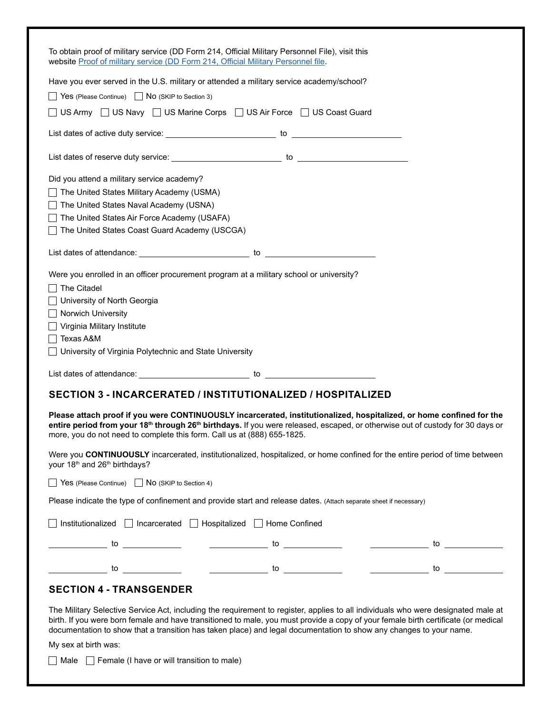| To obtain proof of military service (DD Form 214, Official Military Personnel File), visit this<br>website Proof of military service (DD Form 214, Official Military Personnel file.                                                                                                                                                                                                                                            |
|---------------------------------------------------------------------------------------------------------------------------------------------------------------------------------------------------------------------------------------------------------------------------------------------------------------------------------------------------------------------------------------------------------------------------------|
| Have you ever served in the U.S. military or attended a military service academy/school?                                                                                                                                                                                                                                                                                                                                        |
| $\Box$ Yes (Please Continue) $\Box$ No (SKIP to Section 3)                                                                                                                                                                                                                                                                                                                                                                      |
| ◯ US Army ◯ US Navy ◯ US Marine Corps ◯ US Air Force ◯ US Coast Guard                                                                                                                                                                                                                                                                                                                                                           |
|                                                                                                                                                                                                                                                                                                                                                                                                                                 |
|                                                                                                                                                                                                                                                                                                                                                                                                                                 |
| Did you attend a military service academy?<br>The United States Military Academy (USMA)<br>The United States Naval Academy (USNA)<br>The United States Air Force Academy (USAFA)<br>The United States Coast Guard Academy (USCGA)                                                                                                                                                                                               |
|                                                                                                                                                                                                                                                                                                                                                                                                                                 |
| Were you enrolled in an officer procurement program at a military school or university?<br>The Citadel<br>University of North Georgia<br>Norwich University<br>Virginia Military Institute<br>Texas A&M<br>University of Virginia Polytechnic and State University                                                                                                                                                              |
|                                                                                                                                                                                                                                                                                                                                                                                                                                 |
| <b>SECTION 3 - INCARCERATED / INSTITUTIONALIZED / HOSPITALIZED</b><br>Please attach proof if you were CONTINUOUSLY incarcerated, institutionalized, hospitalized, or home confined for the<br>entire period from your 18 <sup>th</sup> through 26 <sup>th</sup> birthdays. If you were released, escaped, or otherwise out of custody for 30 days or<br>more, you do not need to complete this form. Call us at (888) 655-1825. |
| Were you CONTINUOUSLY incarcerated, institutionalized, hospitalized, or home confined for the entire period of time between<br>your 18 <sup>th</sup> and 26 <sup>th</sup> birthdays?                                                                                                                                                                                                                                            |
| Yes (Please Continue) No (SKIP to Section 4)                                                                                                                                                                                                                                                                                                                                                                                    |
| Please indicate the type of confinement and provide start and release dates. (Attach separate sheet if necessary)                                                                                                                                                                                                                                                                                                               |
| Institutionalized   Incarcerated   Hospitalized   Home Confined                                                                                                                                                                                                                                                                                                                                                                 |
|                                                                                                                                                                                                                                                                                                                                                                                                                                 |
|                                                                                                                                                                                                                                                                                                                                                                                                                                 |
| <b>SECTION 4 - TRANSGENDER</b>                                                                                                                                                                                                                                                                                                                                                                                                  |
| The Military Selective Service Act, including the requirement to register, applies to all individuals who were designated male at<br>birth. If you were born female and have transitioned to male, you must provide a copy of your female birth certificate (or medical<br>documentation to show that a transition has taken place) and legal documentation to show any changes to your name.<br>My sex at birth was:           |
|                                                                                                                                                                                                                                                                                                                                                                                                                                 |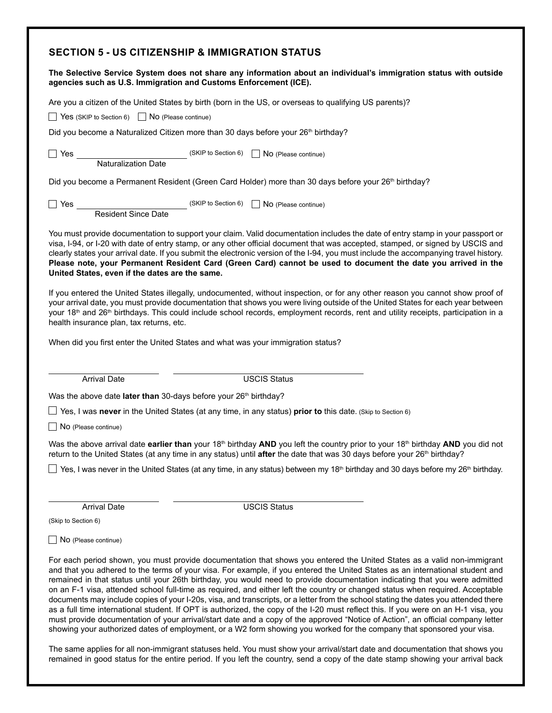### **SECTION 5 - US CITIZENSHIP & IMMIGRATION STATUS**

| agencies such as U.S. Immigration and Customs Enforcement (ICE).             | The Selective Service System does not share any information about an individual's immigration status with outside                                                                                                                                                                                                                                                                                                                                                                                                                       |  |  |  |
|------------------------------------------------------------------------------|-----------------------------------------------------------------------------------------------------------------------------------------------------------------------------------------------------------------------------------------------------------------------------------------------------------------------------------------------------------------------------------------------------------------------------------------------------------------------------------------------------------------------------------------|--|--|--|
|                                                                              | Are you a citizen of the United States by birth (born in the US, or overseas to qualifying US parents)?                                                                                                                                                                                                                                                                                                                                                                                                                                 |  |  |  |
| Yes (SKIP to Section 6) No (Please continue)                                 |                                                                                                                                                                                                                                                                                                                                                                                                                                                                                                                                         |  |  |  |
|                                                                              | Did you become a Naturalized Citizen more than 30 days before your 26 <sup>th</sup> birthday?                                                                                                                                                                                                                                                                                                                                                                                                                                           |  |  |  |
| $\Box$ Yes $\Box$                                                            | Naturalization Date (SKIP to Section 6) No (Please continue)                                                                                                                                                                                                                                                                                                                                                                                                                                                                            |  |  |  |
|                                                                              | Did you become a Permanent Resident (Green Card Holder) more than 30 days before your 26 <sup>th</sup> birthday?                                                                                                                                                                                                                                                                                                                                                                                                                        |  |  |  |
| Yes                                                                          | Resident Since Date (SKIP to Section 6)<br><u>No</u> (Please continue)                                                                                                                                                                                                                                                                                                                                                                                                                                                                  |  |  |  |
| United States, even if the dates are the same.                               | You must provide documentation to support your claim. Valid documentation includes the date of entry stamp in your passport or<br>visa, I-94, or I-20 with date of entry stamp, or any other official document that was accepted, stamped, or signed by USCIS and<br>clearly states your arrival date. If you submit the electronic version of the I-94, you must include the accompanying travel history.<br>Please note, your Permanent Resident Card (Green Card) cannot be used to document the date you arrived in the             |  |  |  |
| health insurance plan, tax returns, etc.                                     | If you entered the United States illegally, undocumented, without inspection, or for any other reason you cannot show proof of<br>your arrival date, you must provide documentation that shows you were living outside of the United States for each year between<br>your 18 <sup>th</sup> and 26 <sup>th</sup> birthdays. This could include school records, employment records, rent and utility receipts, participation in a                                                                                                         |  |  |  |
|                                                                              | When did you first enter the United States and what was your immigration status?                                                                                                                                                                                                                                                                                                                                                                                                                                                        |  |  |  |
| <b>Arrival Date</b>                                                          | <b>USCIS Status</b>                                                                                                                                                                                                                                                                                                                                                                                                                                                                                                                     |  |  |  |
| Was the above date later than 30-days before your 26 <sup>th</sup> birthday? |                                                                                                                                                                                                                                                                                                                                                                                                                                                                                                                                         |  |  |  |
|                                                                              | $\Box$ Yes, I was never in the United States (at any time, in any status) prior to this date. (Skip to Section 6)                                                                                                                                                                                                                                                                                                                                                                                                                       |  |  |  |
| $\Box$ No (Please continue)                                                  |                                                                                                                                                                                                                                                                                                                                                                                                                                                                                                                                         |  |  |  |
|                                                                              | Was the above arrival date earlier than your 18 <sup>th</sup> birthday AND you left the country prior to your 18 <sup>th</sup> birthday AND you did not<br>return to the United States (at any time in any status) until after the date that was 30 days before your 26 <sup>th</sup> birthday?                                                                                                                                                                                                                                         |  |  |  |
|                                                                              | $\Box$ Yes, I was never in the United States (at any time, in any status) between my 18 <sup>th</sup> birthday and 30 days before my 26 <sup>th</sup> birthday.                                                                                                                                                                                                                                                                                                                                                                         |  |  |  |
|                                                                              |                                                                                                                                                                                                                                                                                                                                                                                                                                                                                                                                         |  |  |  |
| <b>Arrival Date</b>                                                          | <b>USCIS Status</b>                                                                                                                                                                                                                                                                                                                                                                                                                                                                                                                     |  |  |  |
| (Skip to Section 6)                                                          |                                                                                                                                                                                                                                                                                                                                                                                                                                                                                                                                         |  |  |  |
| No (Please continue)                                                         |                                                                                                                                                                                                                                                                                                                                                                                                                                                                                                                                         |  |  |  |
|                                                                              | For each period shown, you must provide documentation that shows you entered the United States as a valid non-immigrant<br>and that you adhered to the terms of your visa. For example, if you entered the United States as an international student and<br>remained in that status until your 26th birthday, you would need to provide documentation indicating that you were admitted<br>on an F-1 visa, attended school full-time as required, and either left the country or changed status when required. Acceptable               |  |  |  |
|                                                                              | documents may include copies of your I-20s, visa, and transcripts, or a letter from the school stating the dates you attended there<br>as a full time international student. If OPT is authorized, the copy of the I-20 must reflect this. If you were on an H-1 visa, you<br>must provide documentation of your arrival/start date and a copy of the approved "Notice of Action", an official company letter<br>showing your authorized dates of employment, or a W2 form showing you worked for the company that sponsored your visa. |  |  |  |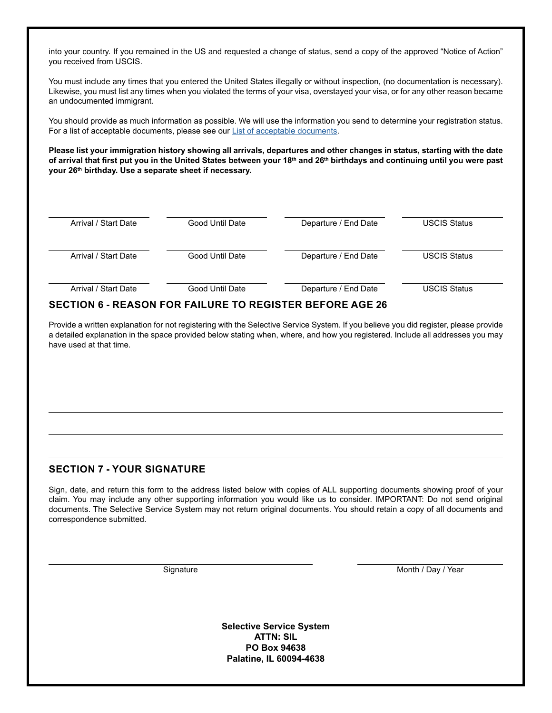into your country. If you remained in the US and requested a change of status, send a copy of the approved "Notice of Action" you received from USCIS.

You must include any times that you entered the United States illegally or without inspection, (no documentation is necessary). Likewise, you must list any times when you violated the terms of your visa, overstayed your visa, or for any other reason became an undocumented immigrant.

You should provide as much information as possible. We will use the information you send to determine your registration status. For a list of acceptable documents, please see our [List of acceptable documents](https://www.sss.gov/Portals/0/PDFs/DocumentationList.pdf).

**Please list your immigration history showing all arrivals, departures and other changes in status, starting with the date of arrival that first put you in the United States between your 18th and 26th birthdays and continuing until you were past your 26th birthday. Use a separate sheet if necessary.**

| Arrival / Start Date | Good Until Date | Departure / End Date | <b>USCIS Status</b> |
|----------------------|-----------------|----------------------|---------------------|
| Arrival / Start Date | Good Until Date | Departure / End Date | <b>USCIS Status</b> |
| Arrival / Start Date | Good Until Date | Departure / End Date | <b>USCIS Status</b> |

### **SECTION 6 - REASON FOR FAILURE TO REGISTER BEFORE AGE 26**

Provide a written explanation for not registering with the Selective Service System. If you believe you did register, please provide a detailed explanation in the space provided below stating when, where, and how you registered. Include all addresses you may have used at that time.

#### **SECTION 7 - YOUR SIGNATURE**

Sign, date, and return this form to the address listed below with copies of ALL supporting documents showing proof of your claim. You may include any other supporting information you would like us to consider. IMPORTANT: Do not send original documents. The Selective Service System may not return original documents. You should retain a copy of all documents and correspondence submitted.

Signature Month / Day / Year

**Selective Service System ATTN: SIL PO Box 94638 Palatine, IL 60094-4638**